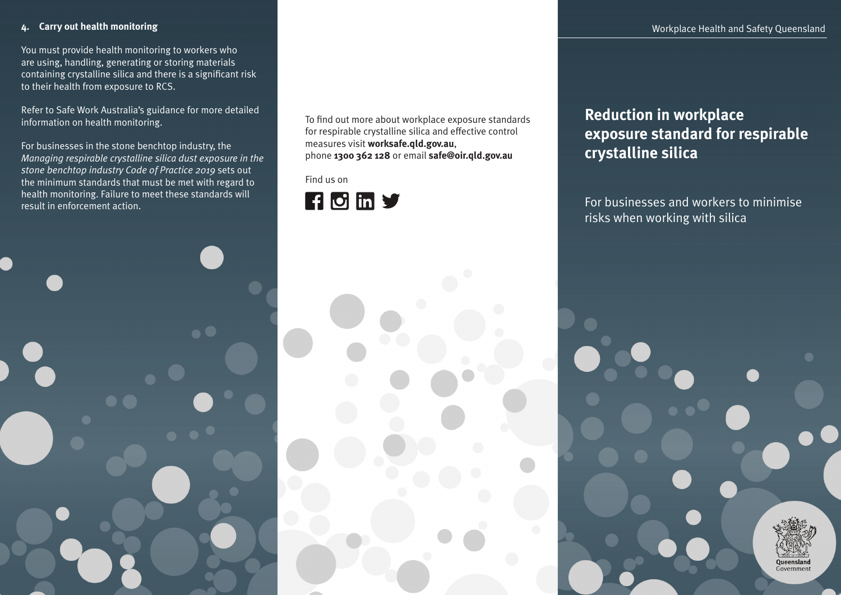You must provide health monitoring to workers who are using, handling, generating or storing materials containing crystalline silica and there is a significant risk to their health from exposure to RCS.

Refer to Safe Work Australia's guidance for more detailed information on health monitoring.

For businesses in the stone benchtop industry, the *Managing respirable crystalline silica dust exposure in the stone benchtop industry Code of Practice 2019* sets out the minimum standards that must be met with regard to health monitoring. Failure to meet these standards will result in enforcement action.

To find out more about workplace exposure standards for respirable crystalline silica and effective control measures visit **worksafe.qld.gov.au**, phone **1300 362 128** or email **safe@oir.qld.gov.au**

Find us on



# **Reduction in workplace exposure standard for respirable crystalline silica**

For businesses and workers to minimise risks when working with silica



Governmer